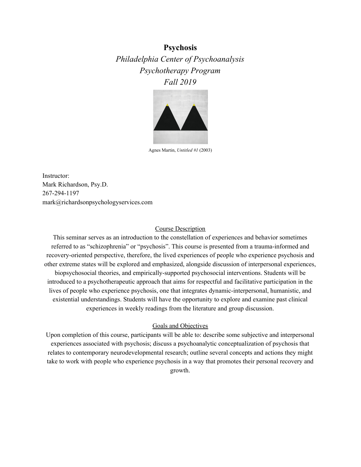**Psychosis** *Philadelphia Center of Psychoanalysis Psychotherapy Program Fall 2019*



Agnes Martin, *Untitled #1* (2003)

Instructor: Mark Richardson, Psy.D. 267-294-1197 mark@richardsonpsychologyservices.com

#### Course Description

This seminar serves as an introduction to the constellation of experiences and behavior sometimes referred to as "schizophrenia" or "psychosis". This course is presented from a trauma-informed and recovery-oriented perspective, therefore, the lived experiences of people who experience psychosis and other extreme states will be explored and emphasized, alongside discussion of interpersonal experiences, biopsychosocial theories, and empirically-supported psychosocial interventions. Students will be introduced to a psychotherapeutic approach that aims for respectful and facilitative participation in the lives of people who experience psychosis, one that integrates dynamic-interpersonal, humanistic, and existential understandings. Students will have the opportunity to explore and examine past clinical experiences in weekly readings from the literature and group discussion.

#### Goals and Objectives

Upon completion of this course, participants will be able to: describe some subjective and interpersonal experiences associated with psychosis; discuss a psychoanalytic conceptualization of psychosis that relates to contemporary neurodevelopmental research; outline several concepts and actions they might take to work with people who experience psychosis in a way that promotes their personal recovery and growth.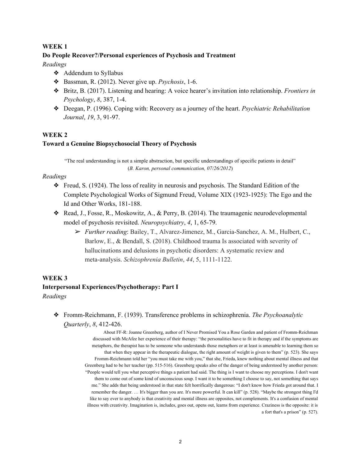#### **WEEK 1**

#### **Do People Recover?/Personal experiences of Psychosis and Treatment**

*Readings*

- ❖ Addendum to Syllabus
- ❖ Bassman, R. (2012). Never give up. *Psychosis*, 1-6.
- ❖ Britz, B. (2017). Listening and hearing: A voice hearer's invitation into relationship. *Frontiers in Psychology*, *8*, 387, 1-4.
- ❖ Deegan, P. (1996). Coping with: Recovery as a journey of the heart. *Psychiatric Rehabilitation Journal*, *19*, 3, 91-97.

## **WEEK 2**

#### **Toward a Genuine Biopsychosocial Theory of Psychosis**

"The real understanding is not a simple abstraction, but specific understandings of specific patients in detail" (*B. Karon, personal communication, 07/26/2012*)

#### *Readings*

- ❖ Freud, S. (1924). The loss of reality in neurosis and psychosis. The Standard Edition of the Complete Psychological Works of Sigmund Freud, Volume XIX (1923-1925): The Ego and the Id and Other Works, 181-188.
- ❖ Read, J., Fosse, R., Moskowitz, A., & Perry, B. (2014). The traumagenic neurodevelopmental model of psychosis revisited. *Neuropsychiatry*, *4*, 1, 65-79.
	- ➢ *Further reading*: Bailey, T., Alvarez-Jimenez, M., Garcia-Sanchez, A. M., Hulbert, C., Barlow, E., & Bendall, S. (2018). Childhood trauma Is associated with severity of hallucinations and delusions in psychotic disorders: A systematic review and meta-analysis. *Schizophrenia Bulletin*, *44*, 5, 1111-1122.

#### **WEEK 3**

# **Interpersonal Experiences/Psychotherapy: Part I** *Readings*

❖ Fromm-Reichmann, F. (1939). Transference problems in schizophrenia. *The Psychoanalytic Quarterly*, *8*, 412-426.

> About FF-R: Joanne Greenberg, author of I Never Promised You a Rose Garden and patient of Fromm-Reichman discussed with McAfee her experience of their therapy: "the personalities have to fit in therapy and if the symptoms are metaphors, the therapist has to be someone who understands those metaphors or at least is amenable to learning them so that when they appear in the therapeutic dialogue, the right amount of weight is given to them" (p. 523). She says Fromm-Reichmann told her "you must take me with you," that she, Frieda, knew nothing about mental illness and that Greenberg had to be her teacher (pp. 515-516). Greenberg speaks also of the danger of being understood by another person: "People would tell you what perceptive things a patient had said. The thing is I want to choose my perceptions. I don't want them to come out of some kind of unconscious soup. I want it to be something I choose to say, not something that says me." She adds that being understood in that state felt horrifically dangerous: "I don't know how Frieda got around that. I remember the danger. … It's bigger than you are. It's more powerful. It can kill" (p. 528). "Maybe the strongest thing I'd like to say ever to anybody is that creativity and mental illness are opposites, not complements. It's a confusion of mental illness with creativity. Imagination is, includes, goes out, opens out, learns from experience. Craziness is the opposite: it is a fort that's a prison" (p. 527).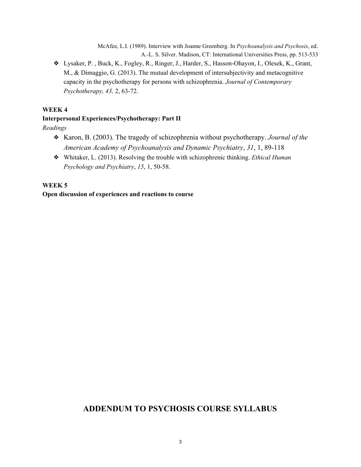McAfee, L.I. (1989). Interview with Joanne Greenberg. In *Psychoanalysis and Psychosis*, ed. A.-L. S. Silver. Madison, CT: International Universities Press, pp. 513-533

❖ Lysaker, P. , Buck, K., Fogley, R., Ringer, J., Harder, S., Hasson-Ohayon, I., Olesek, K., Grant, M., & Dimaggio, G. (2013). The mutual development of intersubjectivity and metacognitive capacity in the psychotherapy for persons with schizophrenia. *Journal of Contemporary Psychotherapy, 43,* 2, 63-72*.*

## **WEEK 4**

## **Interpersonal Experiences/Psychotherapy: Part II**

*Readings*

- ❖ Karon, B. (2003). The tragedy of schizophrenia without psychotherapy. *Journal of the American Academy of Psychoanalysis and Dynamic Psychiatry*, *31*, 1, 89-118
- ❖ Whitaker, L. (2013). Resolving the trouble with schizophrenic thinking. *Ethical Human Psychology and Psychiatry*, *15*, 1, 50-58.

## **WEEK 5**

**Open discussion of experiences and reactions to course**

# **ADDENDUM TO PSYCHOSIS COURSE SYLLABUS**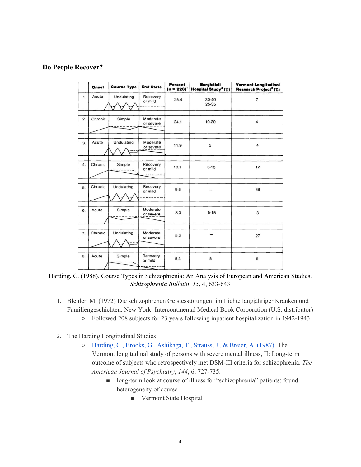# **Do People Recover?**

|                  | Onset   | <b>Course Type</b> | <b>End State</b>      | Percent<br>$(n = 228)^{1}$ | <b>Burghölzli</b><br>Hospital Study <sup>2</sup> (%) | <b>Vermont Longitudinal</b><br>Research Project <sup>3</sup> (%) |
|------------------|---------|--------------------|-----------------------|----------------------------|------------------------------------------------------|------------------------------------------------------------------|
| 1.               | Acute   | Undulating         | Recovery<br>or mild   | 25.4                       | $30 - 40$<br>$25 - 35$                               | $\overline{7}$                                                   |
| 2.               | Chronic | Simple             | Moderate<br>or severe | 24.1                       | 10-20                                                | 4                                                                |
| 3.               | Acute   | Undulating         | Moderate<br>or severe | 11.9                       | 5                                                    | 4                                                                |
| $\overline{4}$ . | Chronic | Simple             | Recovery<br>or mild   | 10.1                       | $5 - 10$                                             | 12                                                               |
| 5.               | Chronic | Undulating         | Recovery<br>or mild   | 9.6                        |                                                      | 38                                                               |
| 6.               | Acute   | Simple             | Moderate<br>or severe | 8.3                        | $5 - 15$                                             | 3                                                                |
| 7.               | Chronic | Undulating         | Moderate<br>or severe | 5.3                        |                                                      | 27                                                               |
| 8.               | Acute   | Simple             | Recovery<br>or mild   | 5.3                        | 5                                                    | 5                                                                |

Harding, C. (1988). Course Types in Schizophrenia: An Analysis of European and American Studies. *Schizophrenia Bulletin*. *15*, 4, 633-643

- 1. Bleuler, M. (1972) Die schizophrenen Geistesstörungen: im Lichte langjähriger Kranken und Familiengeschichten. New York: Intercontinental Medical Book Corporation (U.S. distributor) ○ Followed 208 subjects for 23 years following inpatient hospitalization in 1942-1943
- 2. The Harding Longitudinal Studies
	- Harding, C., Brooks, G., [Ashikaga,](http://psychrights.org/research/digest/chronicity/vermont1.pdf) T., Strauss, J., & Breier, A. (1987). The Vermont longitudinal study of persons with severe mental illness, II: Long-term outcome of subjects who retrospectively met DSM-III criteria for schizophrenia. *The American Journal of Psychiatry*, *144*, 6, 727-735.
		- long-term look at course of illness for "schizophrenia" patients; found heterogeneity of course
			- Vermont State Hospital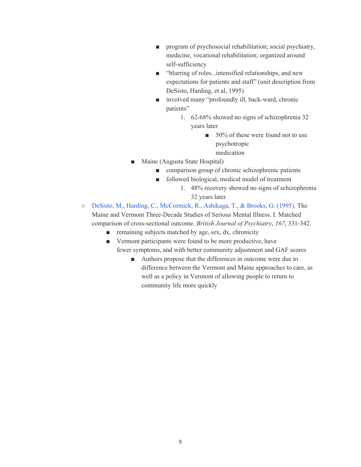- program of psychosocial rehabilitation; social psychiatry, medicine, vocational rehabilitation; organized around self-sufficiency
- "blurring of roles...intensified relationships, and new expectations for patients and staff" (unit description from DeSisto, Harding, et al, 1995)
- involved many "profoundly ill, back-ward, chronic patients"
	- 1. 62-68% showed no signs of schizophrenia 32 years later
		- 50% of these were found not to use psychotropic medication
- Maine (Augusta State Hospital)
	- comparison group of chronic schizophrenic patients
	- followed biological, medical model of treatment
		- 1. 48% recovery showed no signs of schizophrenia 32 years later
- DeSisto, M., Harding, C., [McCormick,](https://www.researchgate.net/publication/15701744_The_Maine_and_Vermont_three-decade_studies_of_serious_mental_illness_I_Matched_comparison_of_cross-sectional_outcome) R., Ashikaga, T., & Brooks, G. (1995). The Maine and Vermont Three-Decade Studies of Serious Mental Illness. I. Matched comparison of cross-sectional outcome. *British Journal of Psychiatry*, *167*, 331-342.
	- remaining subjects matched by age, sex, dx, chronicity
	- Vermont participants were found to be more productive, have fewer symptoms, and with better community adjustment and GAF scores
		- Authors propose that the differences in outcome were due to difference between the Vermont and Maine approaches to care, as well as a policy in Vermont of allowing people to return to community life more quickly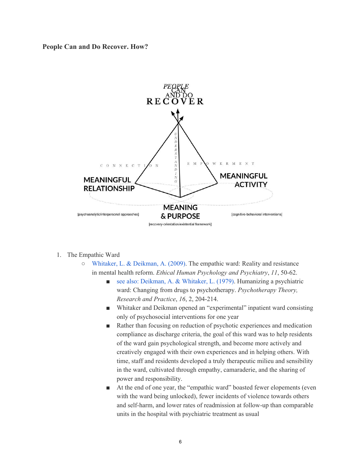**People Can and Do Recover. How?**



- 1. The Empathic Ward
	- [Whitaker,](http://psychrights.org/research/digest/Effective/EmpathicWardEHPP2009.pdf) L. & Deikman, A. (2009). The empathic ward: Reality and resistance in mental health reform. *Ethical Human Psychology and Psychiatry*, *11*, 50-62.
		- see also: Deikman, A. & [Whitaker,](https://psycnet.apa.org/record/1980-26271-001) L. (1979). Humanizing a psychiatric ward: Changing from drugs to psychotherapy. *Psychotherapy Theory, Research and Practice*, *16*, 2, 204-214.
		- Whitaker and Deikman opened an "experimental" inpatient ward consisting only of psychosocial interventions for one year
		- Rather than focusing on reduction of psychotic experiences and medication compliance as discharge criteria, the goal of this ward was to help residents of the ward gain psychological strength, and become more actively and creatively engaged with their own experiences and in helping others. With time, staff and residents developed a truly therapeutic milieu and sensibility in the ward, cultivated through empathy, camaraderie, and the sharing of power and responsibility.
		- At the end of one year, the "empathic ward" boasted fewer elopements (even with the ward being unlocked), fewer incidents of violence towards others and self-harm, and lower rates of readmission at follow-up than comparable units in the hospital with psychiatric treatment as usual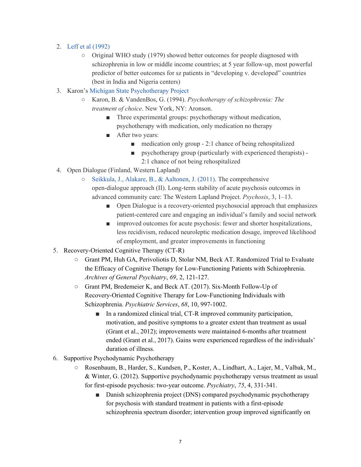# 2. Leff et al [\(1992\)](http://psychrights.org/research/Digest/Chronicity/who1.pdf)

- Original WHO study (1979) showed better outcomes for people diagnosed with schizophrenia in low or middle income countries; at 5 year follow-up, most powerful predictor of better outcomes for sz patients in "developing v. developed" countries (best in India and Nigeria centers)
- 3. Karon's Michigan State [Psychotherapy](http://psychrights.org/research/digest/Effective/MIPsychProj.pdf) Project
	- Karon, B. & VandenBos, G. (1994). *Psychotherapy of schizophrenia: The treatment of choice*. New York, NY: Aronson.
		- Three experimental groups: psychotherapy without medication, psychotherapy with medication, only medication no therapy
		- After two years:
			- $\blacksquare$  medication only group 2:1 chance of being rehospitalized
			- psychotherapy group (particularly with experienced therapists) -2:1 chance of not being rehospitalized
- 4. Open Dialogue (Finland, Western Lapland)
	- Seikkula, J., Alakare, B., & [Aaltonen,](https://www.researchgate.net/publication/224873486_Seikkula_J_Alakare_B_Aaltonen_J_2011_The_comprehensive_open-dialogue_approach_II_Long-term_stability_of_acute_psychosis_outcomes_in_advanced_community_care_The_Western_Lapland_Project) J. (2011). The comprehensive open-dialogue approach (II). Long-term stability of acute psychosis outcomes in advanced community care: The Western Lapland Project. *Psychosis*, 3, 1–13.
		- Open Dialogue is a recovery-oriented psychosocial approach that emphasizes patient-centered care and engaging an individual's family and social network
		- improved outcomes for acute psychosis: fewer and shorter hospitalizations, less recidivism, reduced neuroleptic medication dosage, improved likelihood of employment, and greater improvements in functioning
- 5. Recovery-Oriented Cognitive Therapy (CT-R)
	- Grant PM, Huh GA, Perivoliotis D, Stolar NM, Beck AT. Randomized Trial to Evaluate the Efficacy of Cognitive Therapy for Low-Functioning Patients with Schizophrenia. *Archives of General Psychiatry*, *69*, 2, 121-127.
	- Grant PM, Bredemeier K, and Beck AT. (2017). Six-Month Follow-Up of Recovery-Oriented Cognitive Therapy for Low-Functioning Individuals with Schizophrenia. *Psychiatric Services*, *68*, 10, 997-1002.
		- In a randomized clinical trial, CT-R improved community participation, motivation, and positive symptoms to a greater extent than treatment as usual (Grant et al., 2012); improvements were maintained 6-months after treatment ended (Grant et al., 2017). Gains were experienced regardless of the individuals' duration of illness.
- 6. Supportive Psychodynamic Psychotherapy
	- Rosenbaum, B., Harder, S., Kundsen, P., Koster, A., Lindhart, A., Lajer, M., Valbak, M., & Winter, G. (2012). Supportive psychodynamic psychotherapy versus treatment as usual for first-episode psychosis: two-year outcome. *Psychiatry*, *75*, 4, 331-341.
		- Danish schizophrenia project (DNS) compared psychodynamic psychotherapy for psychosis with standard treatment in patients with a first-episode schizophrenia spectrum disorder; intervention group improved significantly on